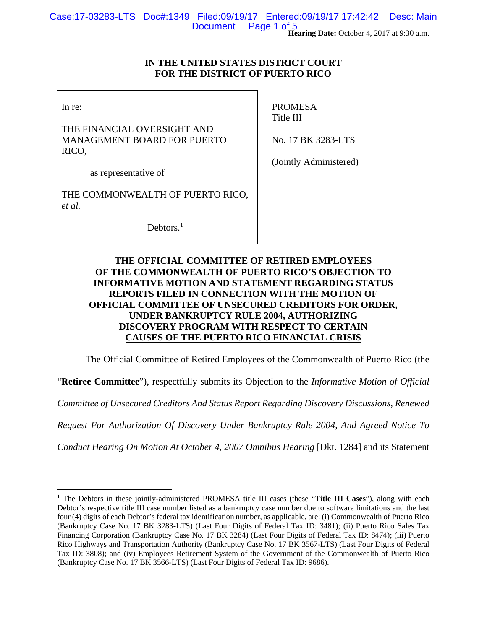# **IN THE UNITED STATES DISTRICT COURT FOR THE DISTRICT OF PUERTO RICO**

In re:

 $\overline{a}$ 

THE FINANCIAL OVERSIGHT AND MANAGEMENT BOARD FOR PUERTO RICO,

PROMESA Title III

No. 17 BK 3283-LTS

as representative of

THE COMMONWEALTH OF PUERTO RICO, *et al.*

Debtors.<sup>1</sup>

(Jointly Administered)

# **THE OFFICIAL COMMITTEE OF RETIRED EMPLOYEES OF THE COMMONWEALTH OF PUERTO RICO'S OBJECTION TO INFORMATIVE MOTION AND STATEMENT REGARDING STATUS REPORTS FILED IN CONNECTION WITH THE MOTION OF OFFICIAL COMMITTEE OF UNSECURED CREDITORS FOR ORDER, UNDER BANKRUPTCY RULE 2004, AUTHORIZING DISCOVERY PROGRAM WITH RESPECT TO CERTAIN CAUSES OF THE PUERTO RICO FINANCIAL CRISIS**

The Official Committee of Retired Employees of the Commonwealth of Puerto Rico (the

"**Retiree Committee**"), respectfully submits its Objection to the *Informative Motion of Official* 

*Committee of Unsecured Creditors And Status Report Regarding Discovery Discussions, Renewed* 

*Request For Authorization Of Discovery Under Bankruptcy Rule 2004, And Agreed Notice To* 

*Conduct Hearing On Motion At October 4, 2007 Omnibus Hearing* [Dkt. 1284] and its Statement

<sup>&</sup>lt;sup>1</sup> The Debtors in these jointly-administered PROMESA title III cases (these "Title III Cases"), along with each Debtor's respective title III case number listed as a bankruptcy case number due to software limitations and the last four (4) digits of each Debtor's federal tax identification number, as applicable, are: (i) Commonwealth of Puerto Rico (Bankruptcy Case No. 17 BK 3283-LTS) (Last Four Digits of Federal Tax ID: 3481); (ii) Puerto Rico Sales Tax Financing Corporation (Bankruptcy Case No. 17 BK 3284) (Last Four Digits of Federal Tax ID: 8474); (iii) Puerto Rico Highways and Transportation Authority (Bankruptcy Case No. 17 BK 3567-LTS) (Last Four Digits of Federal Tax ID: 3808); and (iv) Employees Retirement System of the Government of the Commonwealth of Puerto Rico (Bankruptcy Case No. 17 BK 3566-LTS) (Last Four Digits of Federal Tax ID: 9686).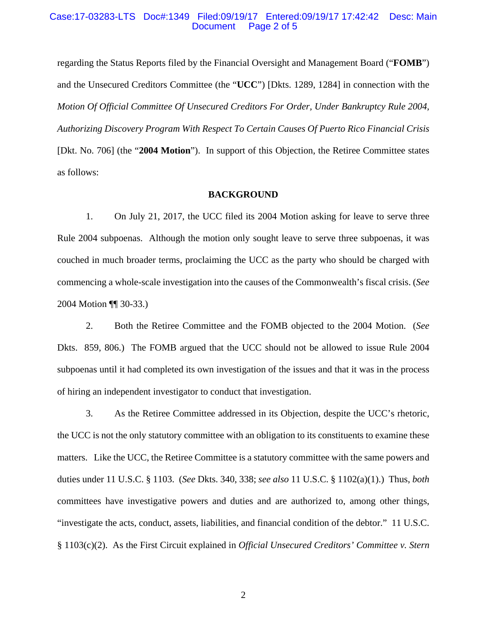## Case:17-03283-LTS Doc#:1349 Filed:09/19/17 Entered:09/19/17 17:42:42 Desc: Main Page 2 of 5

regarding the Status Reports filed by the Financial Oversight and Management Board ("**FOMB**") and the Unsecured Creditors Committee (the "**UCC**") [Dkts. 1289, 1284] in connection with the *Motion Of Official Committee Of Unsecured Creditors For Order, Under Bankruptcy Rule 2004, Authorizing Discovery Program With Respect To Certain Causes Of Puerto Rico Financial Crisis*  [Dkt. No. 706] (the "**2004 Motion**"). In support of this Objection, the Retiree Committee states as follows:

## **BACKGROUND**

1. On July 21, 2017, the UCC filed its 2004 Motion asking for leave to serve three Rule 2004 subpoenas. Although the motion only sought leave to serve three subpoenas, it was couched in much broader terms, proclaiming the UCC as the party who should be charged with commencing a whole-scale investigation into the causes of the Commonwealth's fiscal crisis. (*See* 2004 Motion ¶¶ 30-33.)

2. Both the Retiree Committee and the FOMB objected to the 2004 Motion. (*See* Dkts. 859, 806.) The FOMB argued that the UCC should not be allowed to issue Rule 2004 subpoenas until it had completed its own investigation of the issues and that it was in the process of hiring an independent investigator to conduct that investigation.

3. As the Retiree Committee addressed in its Objection, despite the UCC's rhetoric, the UCC is not the only statutory committee with an obligation to its constituents to examine these matters. Like the UCC, the Retiree Committee is a statutory committee with the same powers and duties under 11 U.S.C. § 1103. (*See* Dkts. 340, 338; *see also* 11 U.S.C. § 1102(a)(1).) Thus, *both* committees have investigative powers and duties and are authorized to, among other things, "investigate the acts, conduct, assets, liabilities, and financial condition of the debtor." 11 U.S.C. § 1103(c)(2). As the First Circuit explained in *Official Unsecured Creditors' Committee v. Stern*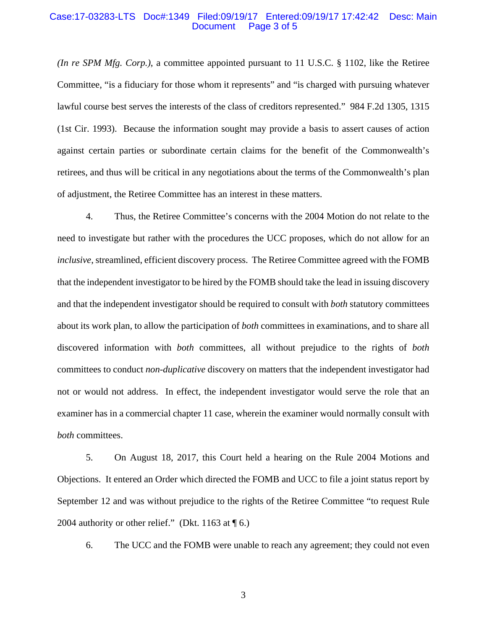#### Case:17-03283-LTS Doc#:1349 Filed:09/19/17 Entered:09/19/17 17:42:42 Desc: Main Page 3 of 5

*(In re SPM Mfg. Corp.)*, a committee appointed pursuant to 11 U.S.C. § 1102, like the Retiree Committee, "is a fiduciary for those whom it represents" and "is charged with pursuing whatever lawful course best serves the interests of the class of creditors represented."984 F.2d 1305, 1315 (1st Cir. 1993). Because the information sought may provide a basis to assert causes of action against certain parties or subordinate certain claims for the benefit of the Commonwealth's retirees, and thus will be critical in any negotiations about the terms of the Commonwealth's plan of adjustment, the Retiree Committee has an interest in these matters.

4. Thus, the Retiree Committee's concerns with the 2004 Motion do not relate to the need to investigate but rather with the procedures the UCC proposes, which do not allow for an *inclusive*, streamlined, efficient discovery process. The Retiree Committee agreed with the FOMB that the independent investigator to be hired by the FOMB should take the lead in issuing discovery and that the independent investigator should be required to consult with *both* statutory committees about its work plan, to allow the participation of *both* committees in examinations, and to share all discovered information with *both* committees, all without prejudice to the rights of *both*  committees to conduct *non-duplicative* discovery on matters that the independent investigator had not or would not address. In effect, the independent investigator would serve the role that an examiner has in a commercial chapter 11 case, wherein the examiner would normally consult with *both* committees.

5. On August 18, 2017, this Court held a hearing on the Rule 2004 Motions and Objections. It entered an Order which directed the FOMB and UCC to file a joint status report by September 12 and was without prejudice to the rights of the Retiree Committee "to request Rule 2004 authority or other relief." (Dkt. 1163 at  $\P$  6.)

6. The UCC and the FOMB were unable to reach any agreement; they could not even

3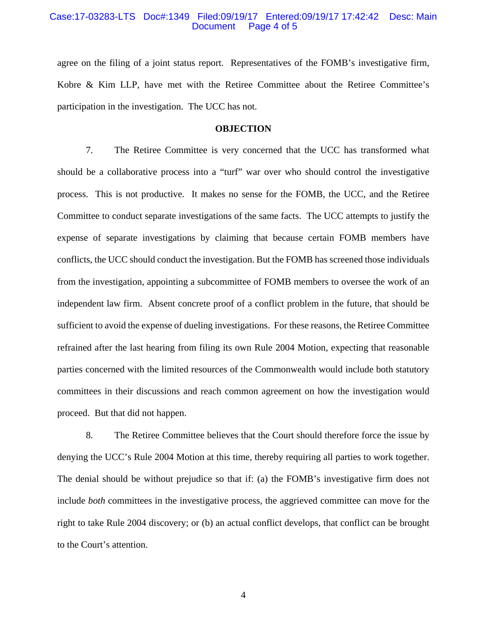### Case:17-03283-LTS Doc#:1349 Filed:09/19/17 Entered:09/19/17 17:42:42 Desc: Main Page 4 of 5

agree on the filing of a joint status report. Representatives of the FOMB's investigative firm, Kobre & Kim LLP, have met with the Retiree Committee about the Retiree Committee's participation in the investigation. The UCC has not.

## **OBJECTION**

7. The Retiree Committee is very concerned that the UCC has transformed what should be a collaborative process into a "turf" war over who should control the investigative process. This is not productive. It makes no sense for the FOMB, the UCC, and the Retiree Committee to conduct separate investigations of the same facts. The UCC attempts to justify the expense of separate investigations by claiming that because certain FOMB members have conflicts, the UCC should conduct the investigation. But the FOMB has screened those individuals from the investigation, appointing a subcommittee of FOMB members to oversee the work of an independent law firm. Absent concrete proof of a conflict problem in the future, that should be sufficient to avoid the expense of dueling investigations. For these reasons, the Retiree Committee refrained after the last hearing from filing its own Rule 2004 Motion, expecting that reasonable parties concerned with the limited resources of the Commonwealth would include both statutory committees in their discussions and reach common agreement on how the investigation would proceed. But that did not happen.

8. The Retiree Committee believes that the Court should therefore force the issue by denying the UCC's Rule 2004 Motion at this time, thereby requiring all parties to work together. The denial should be without prejudice so that if: (a) the FOMB's investigative firm does not include *both* committees in the investigative process, the aggrieved committee can move for the right to take Rule 2004 discovery; or (b) an actual conflict develops, that conflict can be brought to the Court's attention.

4